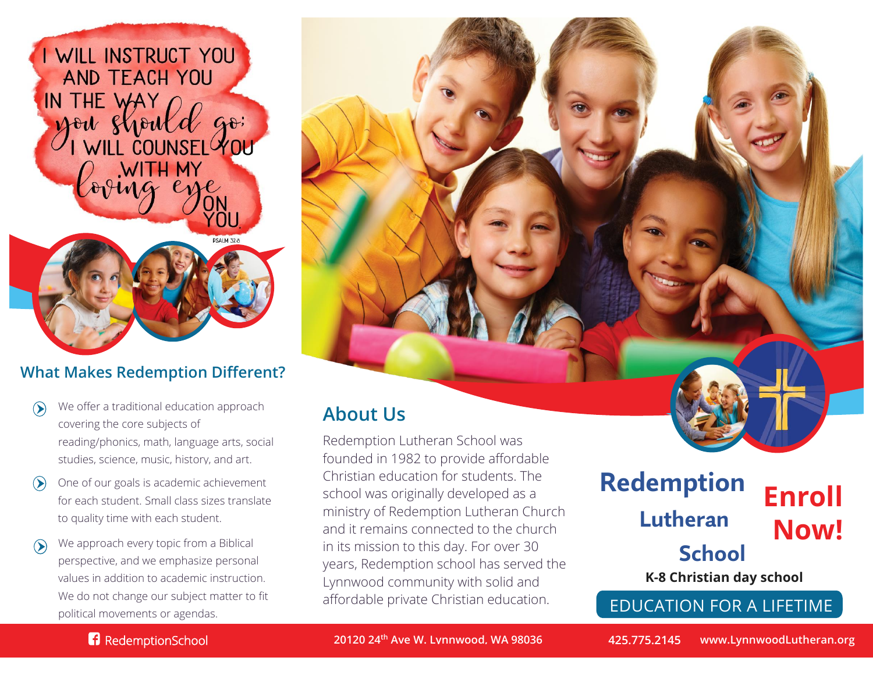

### **What Makes Redemption Different?**

- We offer a traditional education approach  $\odot$ covering the core subjects of reading/phonics, math, language arts, social studies, science, music, history, and art.
- One of our goals is academic achievement  $\left( \right)$ for each student. Small class sizes translate to quality time with each student.
- We approach every topic from a Biblical  $\odot$ perspective, and we emphasize personal values in addition to academic instruction. We do not change our subject matter to fit political movements or agendas.

## **About Us**

Redemption Lutheran School was founded in 1982 to provide affordable Christian education for students. The school was originally developed as a ministry of Redemption Lutheran Church and it remains connected to the church in its mission to this day. For over 30 years, Redemption school has served the Lynnwood community with solid and affordable private Christian education.

## **Enroll Now! Redemption Lutheran School K-8 Christian day school**

EDUCATION FOR A LIFETIME

#### **RedemptionSchool**

**20120 24th Ave W. Lynnwood, WA 98036 425.775.2145 www.LynnwoodLutheran.org**